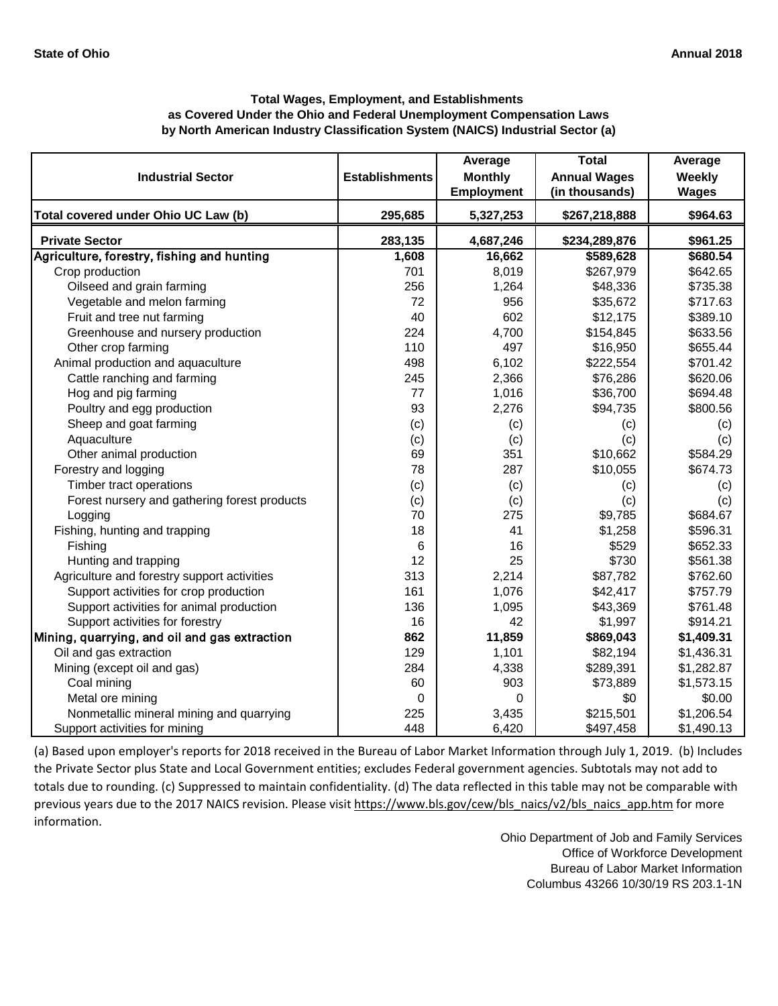|                                               |                       | Average           | <b>Total</b>        | Average      |
|-----------------------------------------------|-----------------------|-------------------|---------------------|--------------|
| <b>Industrial Sector</b>                      | <b>Establishments</b> | <b>Monthly</b>    | <b>Annual Wages</b> | Weekly       |
|                                               |                       | <b>Employment</b> | (in thousands)      | <b>Wages</b> |
| Total covered under Ohio UC Law (b)           | 295,685               | 5,327,253         | \$267,218,888       | \$964.63     |
| <b>Private Sector</b>                         | 283,135               | 4,687,246         | \$234,289,876       | \$961.25     |
| Agriculture, forestry, fishing and hunting    | 1,608                 | 16,662            | \$589,628           | \$680.54     |
| Crop production                               | 701                   | 8,019             | \$267,979           | \$642.65     |
| Oilseed and grain farming                     | 256                   | 1,264             | \$48,336            | \$735.38     |
| Vegetable and melon farming                   | 72                    | 956               | \$35,672            | \$717.63     |
| Fruit and tree nut farming                    | 40                    | 602               | \$12,175            | \$389.10     |
| Greenhouse and nursery production             | 224                   | 4,700             | \$154,845           | \$633.56     |
| Other crop farming                            | 110                   | 497               | \$16,950            | \$655.44     |
| Animal production and aquaculture             | 498                   | 6,102             | \$222,554           | \$701.42     |
| Cattle ranching and farming                   | 245                   | 2,366             | \$76,286            | \$620.06     |
| Hog and pig farming                           | 77                    | 1,016             | \$36,700            | \$694.48     |
| Poultry and egg production                    | 93                    | 2,276             | \$94,735            | \$800.56     |
| Sheep and goat farming                        | (c)                   | (c)               | (c)                 | (c)          |
| Aquaculture                                   | (c)                   | (c)               | (c)                 | (c)          |
| Other animal production                       | 69                    | 351               | \$10,662            | \$584.29     |
| Forestry and logging                          | 78                    | 287               | \$10,055            | \$674.73     |
| Timber tract operations                       | (c)                   | (c)               | (c)                 | (c)          |
| Forest nursery and gathering forest products  | (c)                   | (c)               | (c)                 | (c)          |
| Logging                                       | 70                    | 275               | \$9,785             | \$684.67     |
| Fishing, hunting and trapping                 | 18                    | 41                | \$1,258             | \$596.31     |
| Fishing                                       | 6                     | 16                | \$529               | \$652.33     |
| Hunting and trapping                          | 12                    | 25                | \$730               | \$561.38     |
| Agriculture and forestry support activities   | 313                   | 2,214             | \$87,782            | \$762.60     |
| Support activities for crop production        | 161                   | 1,076             | \$42,417            | \$757.79     |
| Support activities for animal production      | 136                   | 1,095             | \$43,369            | \$761.48     |
| Support activities for forestry               | 16                    | 42                | \$1,997             | \$914.21     |
| Mining, quarrying, and oil and gas extraction | 862                   | 11,859            | \$869,043           | \$1,409.31   |
| Oil and gas extraction                        | 129                   | 1,101             | \$82,194            | \$1,436.31   |
| Mining (except oil and gas)                   | 284                   | 4,338             | \$289,391           | \$1,282.87   |
| Coal mining                                   | 60                    | 903               | \$73,889            | \$1,573.15   |
| Metal ore mining                              | 0                     | 0                 | \$0                 | \$0.00       |
| Nonmetallic mineral mining and quarrying      | 225                   | 3,435             | \$215,501           | \$1,206.54   |
| Support activities for mining                 | 448                   | 6,420             | \$497,458           | \$1,490.13   |

[\(a\) Based upon employer's reports for 2018 received in t](https://www.bls.gov/cew/bls_naics/v2/bls_naics_app.htm)he Bureau of Labor Market Information through July 1, 2019. (b) Includes [the Private Sector plus State and Local Government enti](https://www.bls.gov/cew/bls_naics/v2/bls_naics_app.htm)ties; excludes Federal government agencies. Subtotals may not add to [totals due to rounding. \(c\) Suppressed to maintain confid](https://www.bls.gov/cew/bls_naics/v2/bls_naics_app.htm)entiality. (d) The data reflected in this table may not be comparable with [previous years due to the 2017 NAICS revision. Please visit https://www.bls.gov/cew/bls\\_naics/v2/bls\\_naics\\_app.htm](https://www.bls.gov/cew/bls_naics/v2/bls_naics_app.htm) for more [information.](https://www.bls.gov/cew/bls_naics/v2/bls_naics_app.htm)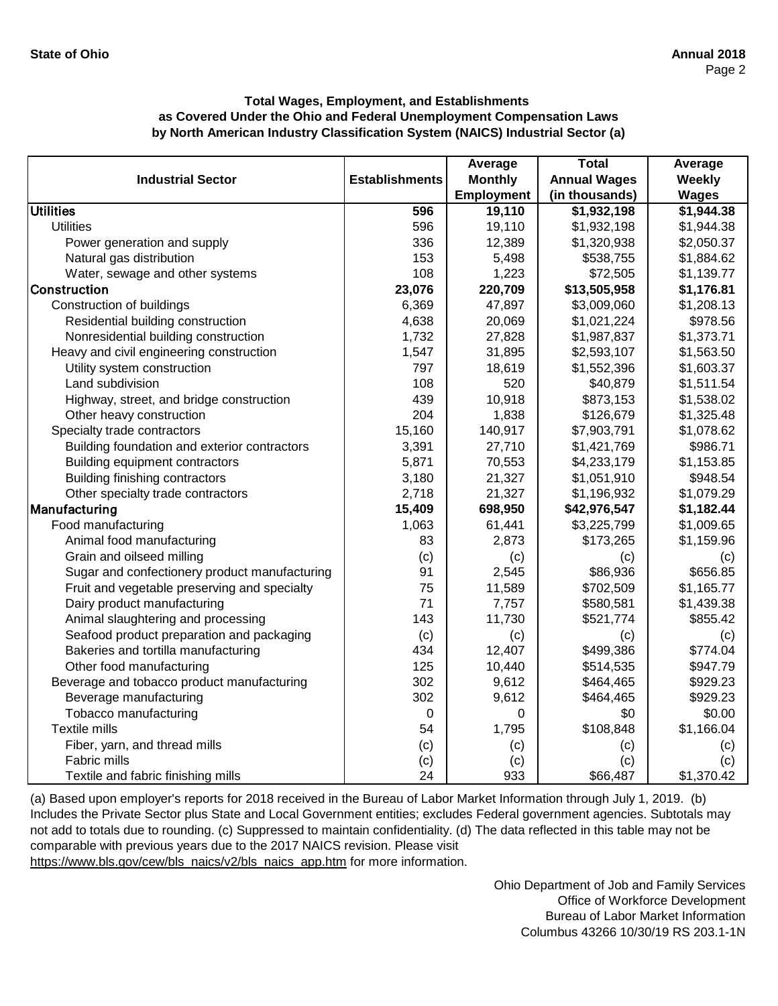|                                               |                       | Average           | <b>Total</b>        | Average      |
|-----------------------------------------------|-----------------------|-------------------|---------------------|--------------|
| <b>Industrial Sector</b>                      | <b>Establishments</b> | <b>Monthly</b>    | <b>Annual Wages</b> | Weekly       |
|                                               |                       | <b>Employment</b> | (in thousands)      | <b>Wages</b> |
| <b>Utilities</b>                              | 596                   | 19,110            | \$1,932,198         | \$1,944.38   |
| <b>Utilities</b>                              | 596                   | 19,110            | \$1,932,198         | \$1,944.38   |
| Power generation and supply                   | 336                   | 12,389            | \$1,320,938         | \$2,050.37   |
| Natural gas distribution                      | 153                   | 5,498             | \$538,755           | \$1,884.62   |
| Water, sewage and other systems               | 108                   | 1,223             | \$72,505            | \$1,139.77   |
| <b>Construction</b>                           | 23,076                | 220,709           | \$13,505,958        | \$1,176.81   |
| Construction of buildings                     | 6,369                 | 47,897            | \$3,009,060         | \$1,208.13   |
| Residential building construction             | 4,638                 | 20,069            | \$1,021,224         | \$978.56     |
| Nonresidential building construction          | 1,732                 | 27,828            | \$1,987,837         | \$1,373.71   |
| Heavy and civil engineering construction      | 1,547                 | 31,895            | \$2,593,107         | \$1,563.50   |
| Utility system construction                   | 797                   | 18,619            | \$1,552,396         | \$1,603.37   |
| Land subdivision                              | 108                   | 520               | \$40,879            | \$1,511.54   |
| Highway, street, and bridge construction      | 439                   | 10,918            | \$873,153           | \$1,538.02   |
| Other heavy construction                      | 204                   | 1,838             | \$126,679           | \$1,325.48   |
| Specialty trade contractors                   | 15,160                | 140,917           | \$7,903,791         | \$1,078.62   |
| Building foundation and exterior contractors  | 3,391                 | 27,710            | \$1,421,769         | \$986.71     |
| Building equipment contractors                | 5,871                 | 70,553            | \$4,233,179         | \$1,153.85   |
| Building finishing contractors                | 3,180                 | 21,327            | \$1,051,910         | \$948.54     |
| Other specialty trade contractors             | 2,718                 | 21,327            | \$1,196,932         | \$1,079.29   |
| Manufacturing                                 | 15,409                | 698,950           | \$42,976,547        | \$1,182.44   |
| Food manufacturing                            | 1,063                 | 61,441            | \$3,225,799         | \$1,009.65   |
| Animal food manufacturing                     | 83                    | 2,873             | \$173,265           | \$1,159.96   |
| Grain and oilseed milling                     | (c)                   | (c)               | (c)                 | (c)          |
| Sugar and confectionery product manufacturing | 91                    | 2,545             | \$86,936            | \$656.85     |
| Fruit and vegetable preserving and specialty  | 75                    | 11,589            | \$702,509           | \$1,165.77   |
| Dairy product manufacturing                   | 71                    | 7,757             | \$580,581           | \$1,439.38   |
| Animal slaughtering and processing            | 143                   | 11,730            | \$521,774           | \$855.42     |
| Seafood product preparation and packaging     | (c)                   | (c)               | (c)                 | (c)          |
| Bakeries and tortilla manufacturing           | 434                   | 12,407            | \$499,386           | \$774.04     |
| Other food manufacturing                      | 125                   | 10,440            | \$514,535           | \$947.79     |
| Beverage and tobacco product manufacturing    | 302                   | 9,612             | \$464,465           | \$929.23     |
| Beverage manufacturing                        | 302                   | 9,612             | \$464,465           | \$929.23     |
| Tobacco manufacturing                         | $\mathbf 0$           | 0                 | \$0                 | \$0.00       |
| <b>Textile mills</b>                          | 54                    | 1,795             | \$108,848           | \$1,166.04   |
| Fiber, yarn, and thread mills                 | (c)                   | (c)               | (c)                 | (c)          |
| Fabric mills                                  | (c)                   | (c)               | (c)                 | (c)          |
| Textile and fabric finishing mills            | 24                    | 933               | \$66,487            | \$1,370.42   |

[\(a\) Based upon employer's reports for 2018 received in t](https://www.bls.gov/cew/bls_naics/v2/bls_naics_app.htm)he Bureau of Labor Market Information through July 1, 2019. (b) [Includes the Private Sector plus State and Local Governm](https://www.bls.gov/cew/bls_naics/v2/bls_naics_app.htm)ent entities; excludes Federal government agencies. Subtotals may [not add to totals due to rounding. \(c\) Suppressed to main](https://www.bls.gov/cew/bls_naics/v2/bls_naics_app.htm)tain confidentiality. (d) The data reflected in this table may not be [comparable with previous years due to the 2017 NAICS](https://www.bls.gov/cew/bls_naics/v2/bls_naics_app.htm) revision. Please visit [https://www.bls.gov/cew/bls\\_naics/v2/bls\\_naics\\_app.htm](https://www.bls.gov/cew/bls_naics/v2/bls_naics_app.htm) for more information.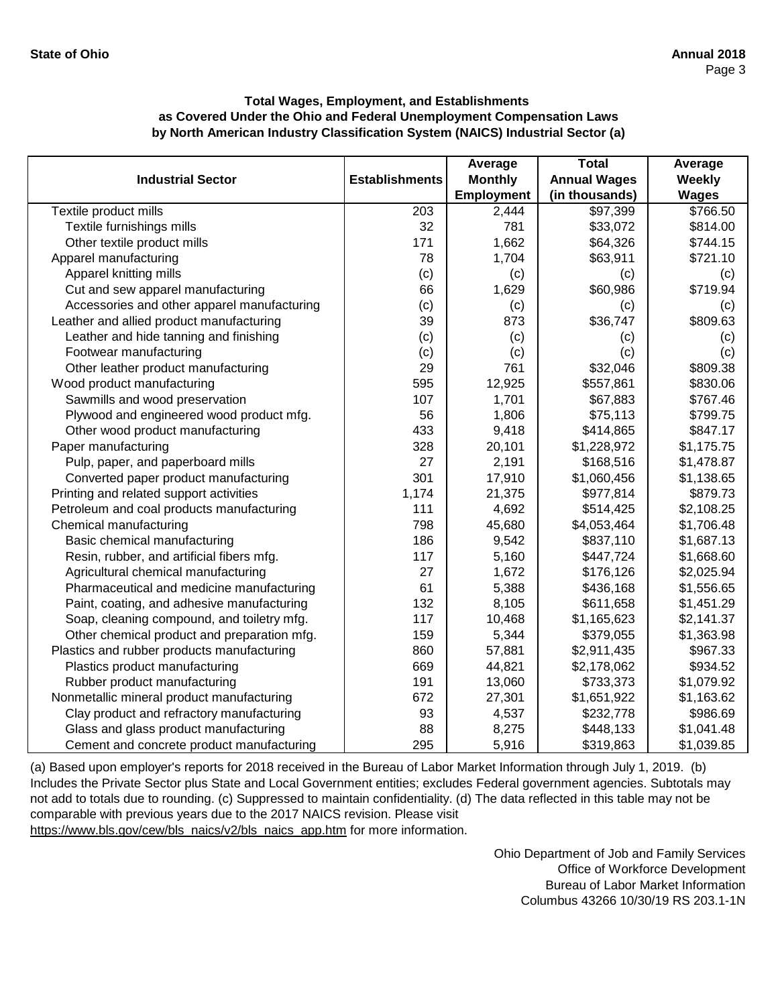|                                             |                       | Average        | <b>Total</b>        | Average      |
|---------------------------------------------|-----------------------|----------------|---------------------|--------------|
| <b>Industrial Sector</b>                    | <b>Establishments</b> | <b>Monthly</b> | <b>Annual Wages</b> | Weekly       |
|                                             |                       | Employment     | (in thousands)      | <b>Wages</b> |
| Textile product mills                       | $\overline{203}$      | 2,444          | \$97,399            | \$766.50     |
| Textile furnishings mills                   | 32                    | 781            | \$33,072            | \$814.00     |
| Other textile product mills                 | 171                   | 1,662          | \$64,326            | \$744.15     |
| Apparel manufacturing                       | 78                    | 1,704          | \$63,911            | \$721.10     |
| Apparel knitting mills                      | (c)                   | (c)            | (c)                 | (c)          |
| Cut and sew apparel manufacturing           | 66                    | 1,629          | \$60,986            | \$719.94     |
| Accessories and other apparel manufacturing | (c)                   | (c)            | (c)                 | (c)          |
| Leather and allied product manufacturing    | 39                    | 873            | \$36,747            | \$809.63     |
| Leather and hide tanning and finishing      | (c)                   | (c)            | (c)                 | (c)          |
| Footwear manufacturing                      | (c)                   | (c)            | (c)                 | (c)          |
| Other leather product manufacturing         | 29                    | 761            | \$32,046            | \$809.38     |
| Wood product manufacturing                  | 595                   | 12,925         | \$557,861           | \$830.06     |
| Sawmills and wood preservation              | 107                   | 1,701          | \$67,883            | \$767.46     |
| Plywood and engineered wood product mfg.    | 56                    | 1,806          | \$75,113            | \$799.75     |
| Other wood product manufacturing            | 433                   | 9,418          | \$414,865           | \$847.17     |
| Paper manufacturing                         | 328                   | 20,101         | \$1,228,972         | \$1,175.75   |
| Pulp, paper, and paperboard mills           | 27                    | 2,191          | \$168,516           | \$1,478.87   |
| Converted paper product manufacturing       | 301                   | 17,910         | \$1,060,456         | \$1,138.65   |
| Printing and related support activities     | 1,174                 | 21,375         | \$977,814           | \$879.73     |
| Petroleum and coal products manufacturing   | 111                   | 4,692          | \$514,425           | \$2,108.25   |
| Chemical manufacturing                      | 798                   | 45,680         | \$4,053,464         | \$1,706.48   |
| Basic chemical manufacturing                | 186                   | 9,542          | \$837,110           | \$1,687.13   |
| Resin, rubber, and artificial fibers mfg.   | 117                   | 5,160          | \$447,724           | \$1,668.60   |
| Agricultural chemical manufacturing         | 27                    | 1,672          | \$176,126           | \$2,025.94   |
| Pharmaceutical and medicine manufacturing   | 61                    | 5,388          | \$436,168           | \$1,556.65   |
| Paint, coating, and adhesive manufacturing  | 132                   | 8,105          | \$611,658           | \$1,451.29   |
| Soap, cleaning compound, and toiletry mfg.  | 117                   | 10,468         | \$1,165,623         | \$2,141.37   |
| Other chemical product and preparation mfg. | 159                   | 5,344          | \$379,055           | \$1,363.98   |
| Plastics and rubber products manufacturing  | 860                   | 57,881         | \$2,911,435         | \$967.33     |
| Plastics product manufacturing              | 669                   | 44,821         | \$2,178,062         | \$934.52     |
| Rubber product manufacturing                | 191                   | 13,060         | \$733,373           | \$1,079.92   |
| Nonmetallic mineral product manufacturing   | 672                   | 27,301         | \$1,651,922         | \$1,163.62   |
| Clay product and refractory manufacturing   | 93                    | 4,537          | \$232,778           | \$986.69     |
| Glass and glass product manufacturing       | 88                    | 8,275          | \$448,133           | \$1,041.48   |
| Cement and concrete product manufacturing   | 295                   | 5,916          | \$319,863           | \$1,039.85   |

[\(a\) Based upon employer's reports for 2018 received in t](https://www.bls.gov/cew/bls_naics/v2/bls_naics_app.htm)he Bureau of Labor Market Information through July 1, 2019. (b) [Includes the Private Sector plus State and Local Governm](https://www.bls.gov/cew/bls_naics/v2/bls_naics_app.htm)ent entities; excludes Federal government agencies. Subtotals may [not add to totals due to rounding. \(c\) Suppressed to main](https://www.bls.gov/cew/bls_naics/v2/bls_naics_app.htm)tain confidentiality. (d) The data reflected in this table may not be [comparable with previous years due to the 2017 NAICS](https://www.bls.gov/cew/bls_naics/v2/bls_naics_app.htm) revision. Please visit

[https://www.bls.gov/cew/bls\\_naics/v2/bls\\_naics\\_app.htm](https://www.bls.gov/cew/bls_naics/v2/bls_naics_app.htm) for more information.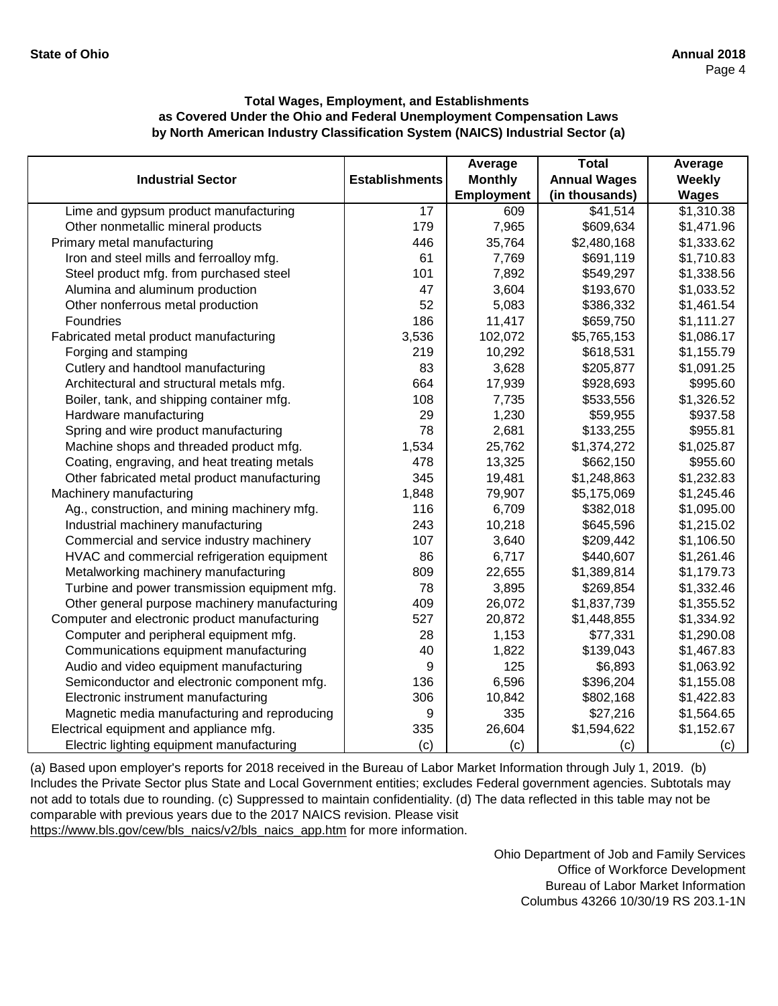|                                               |                       | Average           | <b>Total</b>        | Average       |
|-----------------------------------------------|-----------------------|-------------------|---------------------|---------------|
| <b>Industrial Sector</b>                      | <b>Establishments</b> | <b>Monthly</b>    | <b>Annual Wages</b> | <b>Weekly</b> |
|                                               |                       | <b>Employment</b> | (in thousands)      | <b>Wages</b>  |
| Lime and gypsum product manufacturing         | $\overline{17}$       | 609               | \$41,514            | \$1,310.38    |
| Other nonmetallic mineral products            | 179                   | 7,965             | \$609,634           | \$1,471.96    |
| Primary metal manufacturing                   | 446                   | 35,764            | \$2,480,168         | \$1,333.62    |
| Iron and steel mills and ferroalloy mfg.      | 61                    | 7,769             | \$691,119           | \$1,710.83    |
| Steel product mfg. from purchased steel       | 101                   | 7,892             | \$549,297           | \$1,338.56    |
| Alumina and aluminum production               | 47                    | 3,604             | \$193,670           | \$1,033.52    |
| Other nonferrous metal production             | 52                    | 5,083             | \$386,332           | \$1,461.54    |
| Foundries                                     | 186                   | 11,417            | \$659,750           | \$1,111.27    |
| Fabricated metal product manufacturing        | 3,536                 | 102,072           | \$5,765,153         | \$1,086.17    |
| Forging and stamping                          | 219                   | 10,292            | \$618,531           | \$1,155.79    |
| Cutlery and handtool manufacturing            | 83                    | 3,628             | \$205,877           | \$1,091.25    |
| Architectural and structural metals mfg.      | 664                   | 17,939            | \$928,693           | \$995.60      |
| Boiler, tank, and shipping container mfg.     | 108                   | 7,735             | \$533,556           | \$1,326.52    |
| Hardware manufacturing                        | 29                    | 1,230             | \$59,955            | \$937.58      |
| Spring and wire product manufacturing         | 78                    | 2,681             | \$133,255           | \$955.81      |
| Machine shops and threaded product mfg.       | 1,534                 | 25,762            | \$1,374,272         | \$1,025.87    |
| Coating, engraving, and heat treating metals  | 478                   | 13,325            | \$662,150           | \$955.60      |
| Other fabricated metal product manufacturing  | 345                   | 19,481            | \$1,248,863         | \$1,232.83    |
| Machinery manufacturing                       | 1,848                 | 79,907            | \$5,175,069         | \$1,245.46    |
| Ag., construction, and mining machinery mfg.  | 116                   | 6,709             | \$382,018           | \$1,095.00    |
| Industrial machinery manufacturing            | 243                   | 10,218            | \$645,596           | \$1,215.02    |
| Commercial and service industry machinery     | 107                   | 3,640             | \$209,442           | \$1,106.50    |
| HVAC and commercial refrigeration equipment   | 86                    | 6,717             | \$440,607           | \$1,261.46    |
| Metalworking machinery manufacturing          | 809                   | 22,655            | \$1,389,814         | \$1,179.73    |
| Turbine and power transmission equipment mfg. | 78                    | 3,895             | \$269,854           | \$1,332.46    |
| Other general purpose machinery manufacturing | 409                   | 26,072            | \$1,837,739         | \$1,355.52    |
| Computer and electronic product manufacturing | 527                   | 20,872            | \$1,448,855         | \$1,334.92    |
| Computer and peripheral equipment mfg.        | 28                    | 1,153             | \$77,331            | \$1,290.08    |
| Communications equipment manufacturing        | 40                    | 1,822             | \$139,043           | \$1,467.83    |
| Audio and video equipment manufacturing       | 9                     | 125               | \$6,893             | \$1,063.92    |
| Semiconductor and electronic component mfg.   | 136                   | 6,596             | \$396,204           | \$1,155.08    |
| Electronic instrument manufacturing           | 306                   | 10,842            | \$802,168           | \$1,422.83    |
| Magnetic media manufacturing and reproducing  | 9                     | 335               | \$27,216            | \$1,564.65    |
| Electrical equipment and appliance mfg.       | 335                   | 26,604            | \$1,594,622         | \$1,152.67    |
| Electric lighting equipment manufacturing     | (c)                   | (c)               | (c)                 | (c)           |

[\(a\) Based upon employer's reports for 2018 received in t](https://www.bls.gov/cew/bls_naics/v2/bls_naics_app.htm)he Bureau of Labor Market Information through July 1, 2019. (b) [Includes the Private Sector plus State and Local Governm](https://www.bls.gov/cew/bls_naics/v2/bls_naics_app.htm)ent entities; excludes Federal government agencies. Subtotals may [not add to totals due to rounding. \(c\) Suppressed to main](https://www.bls.gov/cew/bls_naics/v2/bls_naics_app.htm)tain confidentiality. (d) The data reflected in this table may not be [comparable with previous years due to the 2017 NAICS](https://www.bls.gov/cew/bls_naics/v2/bls_naics_app.htm) revision. Please visit

[https://www.bls.gov/cew/bls\\_naics/v2/bls\\_naics\\_app.htm](https://www.bls.gov/cew/bls_naics/v2/bls_naics_app.htm) for more information.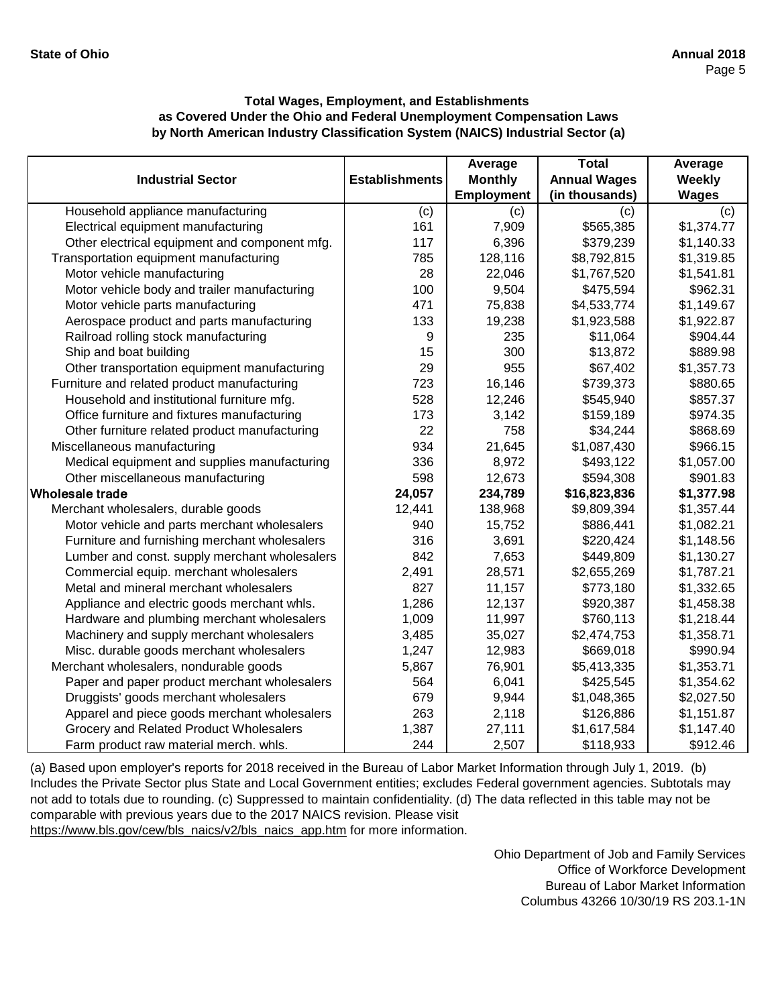|                                               |                       | Average        | <b>Total</b>        | Average      |
|-----------------------------------------------|-----------------------|----------------|---------------------|--------------|
| <b>Industrial Sector</b>                      | <b>Establishments</b> | <b>Monthly</b> | <b>Annual Wages</b> | Weekly       |
|                                               |                       | Employment     | (in thousands)      | <b>Wages</b> |
| Household appliance manufacturing             | (c)                   | (c)            | (c)                 | (c)          |
| Electrical equipment manufacturing            | 161                   | 7,909          | \$565,385           | \$1,374.77   |
| Other electrical equipment and component mfg. | 117                   | 6,396          | \$379,239           | \$1,140.33   |
| Transportation equipment manufacturing        | 785                   | 128,116        | \$8,792,815         | \$1,319.85   |
| Motor vehicle manufacturing                   | 28                    | 22,046         | \$1,767,520         | \$1,541.81   |
| Motor vehicle body and trailer manufacturing  | 100                   | 9,504          | \$475,594           | \$962.31     |
| Motor vehicle parts manufacturing             | 471                   | 75,838         | \$4,533,774         | \$1,149.67   |
| Aerospace product and parts manufacturing     | 133                   | 19,238         | \$1,923,588         | \$1,922.87   |
| Railroad rolling stock manufacturing          | 9                     | 235            | \$11,064            | \$904.44     |
| Ship and boat building                        | 15                    | 300            | \$13,872            | \$889.98     |
| Other transportation equipment manufacturing  | 29                    | 955            | \$67,402            | \$1,357.73   |
| Furniture and related product manufacturing   | 723                   | 16,146         | \$739,373           | \$880.65     |
| Household and institutional furniture mfg.    | 528                   | 12,246         | \$545,940           | \$857.37     |
| Office furniture and fixtures manufacturing   | 173                   | 3,142          | \$159,189           | \$974.35     |
| Other furniture related product manufacturing | 22                    | 758            | \$34,244            | \$868.69     |
| Miscellaneous manufacturing                   | 934                   | 21,645         | \$1,087,430         | \$966.15     |
| Medical equipment and supplies manufacturing  | 336                   | 8,972          | \$493,122           | \$1,057.00   |
| Other miscellaneous manufacturing             | 598                   | 12,673         | \$594,308           | \$901.83     |
| lWholesale trade                              | 24,057                | 234,789        | \$16,823,836        | \$1,377.98   |
| Merchant wholesalers, durable goods           | 12,441                | 138,968        | \$9,809,394         | \$1,357.44   |
| Motor vehicle and parts merchant wholesalers  | 940                   | 15,752         | \$886,441           | \$1,082.21   |
| Furniture and furnishing merchant wholesalers | 316                   | 3,691          | \$220,424           | \$1,148.56   |
| Lumber and const. supply merchant wholesalers | 842                   | 7,653          | \$449,809           | \$1,130.27   |
| Commercial equip. merchant wholesalers        | 2,491                 | 28,571         | \$2,655,269         | \$1,787.21   |
| Metal and mineral merchant wholesalers        | 827                   | 11,157         | \$773,180           | \$1,332.65   |
| Appliance and electric goods merchant whls.   | 1,286                 | 12,137         | \$920,387           | \$1,458.38   |
| Hardware and plumbing merchant wholesalers    | 1,009                 | 11,997         | \$760,113           | \$1,218.44   |
| Machinery and supply merchant wholesalers     | 3,485                 | 35,027         | \$2,474,753         | \$1,358.71   |
| Misc. durable goods merchant wholesalers      | 1,247                 | 12,983         | \$669,018           | \$990.94     |
| Merchant wholesalers, nondurable goods        | 5,867                 | 76,901         | \$5,413,335         | \$1,353.71   |
| Paper and paper product merchant wholesalers  | 564                   | 6,041          | \$425,545           | \$1,354.62   |
| Druggists' goods merchant wholesalers         | 679                   | 9,944          | \$1,048,365         | \$2,027.50   |
| Apparel and piece goods merchant wholesalers  | 263                   | 2,118          | \$126,886           | \$1,151.87   |
| Grocery and Related Product Wholesalers       | 1,387                 | 27,111         | \$1,617,584         | \$1,147.40   |
| Farm product raw material merch. whls.        | 244                   | 2,507          | \$118,933           | \$912.46     |

[\(a\) Based upon employer's reports for 2018 received in t](https://www.bls.gov/cew/bls_naics/v2/bls_naics_app.htm)he Bureau of Labor Market Information through July 1, 2019. (b) [Includes the Private Sector plus State and Local Governm](https://www.bls.gov/cew/bls_naics/v2/bls_naics_app.htm)ent entities; excludes Federal government agencies. Subtotals may [not add to totals due to rounding. \(c\) Suppressed to main](https://www.bls.gov/cew/bls_naics/v2/bls_naics_app.htm)tain confidentiality. (d) The data reflected in this table may not be [comparable with previous years due to the 2017 NAICS](https://www.bls.gov/cew/bls_naics/v2/bls_naics_app.htm) revision. Please visit

[https://www.bls.gov/cew/bls\\_naics/v2/bls\\_naics\\_app.htm](https://www.bls.gov/cew/bls_naics/v2/bls_naics_app.htm) for more information.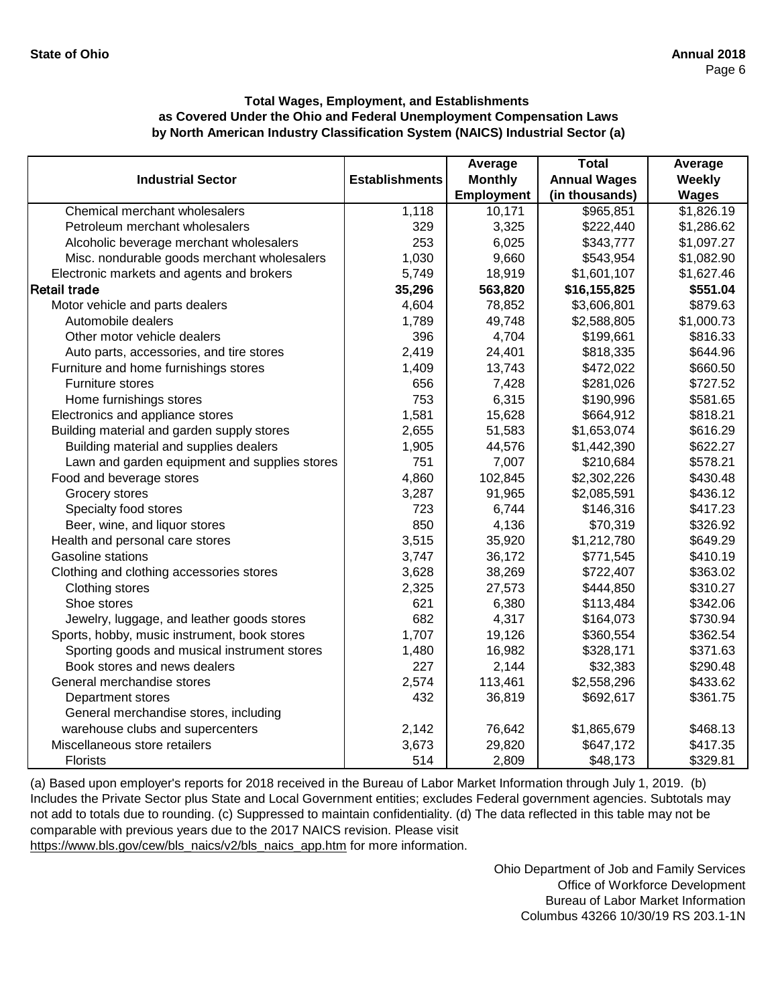|                                               |                       | Average        | <b>Total</b>        | Average      |
|-----------------------------------------------|-----------------------|----------------|---------------------|--------------|
| <b>Industrial Sector</b>                      | <b>Establishments</b> | <b>Monthly</b> | <b>Annual Wages</b> | Weekly       |
|                                               |                       | Employment     | (in thousands)      | <b>Wages</b> |
| Chemical merchant wholesalers                 | 1,118                 | 10,171         | \$965,851           | \$1,826.19   |
| Petroleum merchant wholesalers                | 329                   | 3,325          | \$222,440           | \$1,286.62   |
| Alcoholic beverage merchant wholesalers       | 253                   | 6,025          | \$343,777           | \$1,097.27   |
| Misc. nondurable goods merchant wholesalers   | 1,030                 | 9,660          | \$543,954           | \$1,082.90   |
| Electronic markets and agents and brokers     | 5,749                 | 18,919         | \$1,601,107         | \$1,627.46   |
| <b>Retail trade</b>                           | 35,296                | 563,820        | \$16,155,825        | \$551.04     |
| Motor vehicle and parts dealers               | 4,604                 | 78,852         | \$3,606,801         | \$879.63     |
| Automobile dealers                            | 1,789                 | 49,748         | \$2,588,805         | \$1,000.73   |
| Other motor vehicle dealers                   | 396                   | 4,704          | \$199,661           | \$816.33     |
| Auto parts, accessories, and tire stores      | 2,419                 | 24,401         | \$818,335           | \$644.96     |
| Furniture and home furnishings stores         | 1,409                 | 13,743         | \$472,022           | \$660.50     |
| <b>Furniture stores</b>                       | 656                   | 7,428          | \$281,026           | \$727.52     |
| Home furnishings stores                       | 753                   | 6,315          | \$190,996           | \$581.65     |
| Electronics and appliance stores              | 1,581                 | 15,628         | \$664,912           | \$818.21     |
| Building material and garden supply stores    | 2,655                 | 51,583         | \$1,653,074         | \$616.29     |
| Building material and supplies dealers        | 1,905                 | 44,576         | \$1,442,390         | \$622.27     |
| Lawn and garden equipment and supplies stores | 751                   | 7,007          | \$210,684           | \$578.21     |
| Food and beverage stores                      | 4,860                 | 102,845        | \$2,302,226         | \$430.48     |
| Grocery stores                                | 3,287                 | 91,965         | \$2,085,591         | \$436.12     |
| Specialty food stores                         | 723                   | 6,744          | \$146,316           | \$417.23     |
| Beer, wine, and liquor stores                 | 850                   | 4,136          | \$70,319            | \$326.92     |
| Health and personal care stores               | 3,515                 | 35,920         | \$1,212,780         | \$649.29     |
| Gasoline stations                             | 3,747                 | 36,172         | \$771,545           | \$410.19     |
| Clothing and clothing accessories stores      | 3,628                 | 38,269         | \$722,407           | \$363.02     |
| Clothing stores                               | 2,325                 | 27,573         | \$444,850           | \$310.27     |
| Shoe stores                                   | 621                   | 6,380          | \$113,484           | \$342.06     |
| Jewelry, luggage, and leather goods stores    | 682                   | 4,317          | \$164,073           | \$730.94     |
| Sports, hobby, music instrument, book stores  | 1,707                 | 19,126         | \$360,554           | \$362.54     |
| Sporting goods and musical instrument stores  | 1,480                 | 16,982         | \$328,171           | \$371.63     |
| Book stores and news dealers                  | 227                   | 2,144          | \$32,383            | \$290.48     |
| General merchandise stores                    | 2,574                 | 113,461        | \$2,558,296         | \$433.62     |
| Department stores                             | 432                   | 36,819         | \$692,617           | \$361.75     |
| General merchandise stores, including         |                       |                |                     |              |
| warehouse clubs and supercenters              | 2,142                 | 76,642         | \$1,865,679         | \$468.13     |
| Miscellaneous store retailers                 | 3,673                 | 29,820         | \$647,172           | \$417.35     |
| <b>Florists</b>                               | 514                   | 2,809          | \$48,173            | \$329.81     |

[\(a\) Based upon employer's reports for 2018 received in t](https://www.bls.gov/cew/bls_naics/v2/bls_naics_app.htm)he Bureau of Labor Market Information through July 1, 2019. (b) [Includes the Private Sector plus State and Local Governm](https://www.bls.gov/cew/bls_naics/v2/bls_naics_app.htm)ent entities; excludes Federal government agencies. Subtotals may [not add to totals due to rounding. \(c\) Suppressed to main](https://www.bls.gov/cew/bls_naics/v2/bls_naics_app.htm)tain confidentiality. (d) The data reflected in this table may not be [comparable with previous years due to the 2017 NAICS](https://www.bls.gov/cew/bls_naics/v2/bls_naics_app.htm) revision. Please visit [https://www.bls.gov/cew/bls\\_naics/v2/bls\\_naics\\_app.htm](https://www.bls.gov/cew/bls_naics/v2/bls_naics_app.htm) for more information.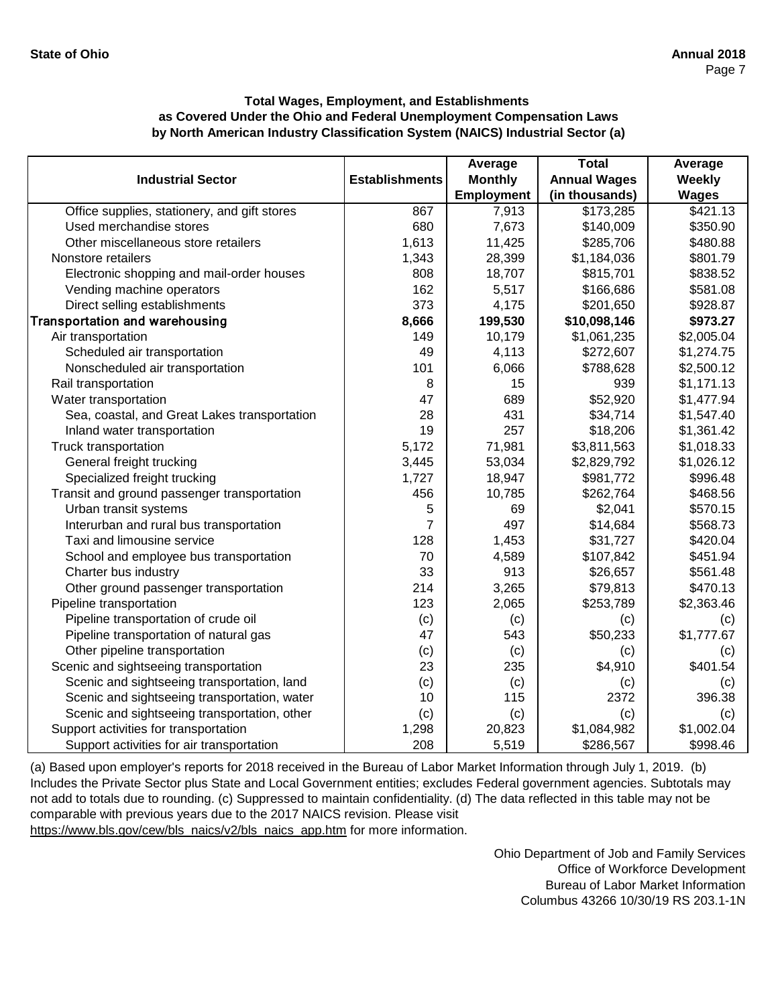|                                              |                       | Average        | <b>Total</b>        | Average      |
|----------------------------------------------|-----------------------|----------------|---------------------|--------------|
| <b>Industrial Sector</b>                     | <b>Establishments</b> | <b>Monthly</b> | <b>Annual Wages</b> | Weekly       |
|                                              |                       | Employment     | (in thousands)      | <b>Wages</b> |
| Office supplies, stationery, and gift stores | 867                   | 7,913          | \$173,285           | \$421.13     |
| Used merchandise stores                      | 680                   | 7,673          | \$140,009           | \$350.90     |
| Other miscellaneous store retailers          | 1,613                 | 11,425         | \$285,706           | \$480.88     |
| Nonstore retailers                           | 1,343                 | 28,399         | \$1,184,036         | \$801.79     |
| Electronic shopping and mail-order houses    | 808                   | 18,707         | \$815,701           | \$838.52     |
| Vending machine operators                    | 162                   | 5,517          | \$166,686           | \$581.08     |
| Direct selling establishments                | 373                   | 4,175          | \$201,650           | \$928.87     |
| <b>Transportation and warehousing</b>        | 8,666                 | 199,530        | \$10,098,146        | \$973.27     |
| Air transportation                           | 149                   | 10,179         | \$1,061,235         | \$2,005.04   |
| Scheduled air transportation                 | 49                    | 4,113          | \$272,607           | \$1,274.75   |
| Nonscheduled air transportation              | 101                   | 6,066          | \$788,628           | \$2,500.12   |
| Rail transportation                          | 8                     | 15             | 939                 | \$1,171.13   |
| Water transportation                         | 47                    | 689            | \$52,920            | \$1,477.94   |
| Sea, coastal, and Great Lakes transportation | 28                    | 431            | \$34,714            | \$1,547.40   |
| Inland water transportation                  | 19                    | 257            | \$18,206            | \$1,361.42   |
| Truck transportation                         | 5,172                 | 71,981         | \$3,811,563         | \$1,018.33   |
| General freight trucking                     | 3,445                 | 53,034         | \$2,829,792         | \$1,026.12   |
| Specialized freight trucking                 | 1,727                 | 18,947         | \$981,772           | \$996.48     |
| Transit and ground passenger transportation  | 456                   | 10,785         | \$262,764           | \$468.56     |
| Urban transit systems                        | 5                     | 69             | \$2,041             | \$570.15     |
| Interurban and rural bus transportation      | 7                     | 497            | \$14,684            | \$568.73     |
| Taxi and limousine service                   | 128                   | 1,453          | \$31,727            | \$420.04     |
| School and employee bus transportation       | 70                    | 4,589          | \$107,842           | \$451.94     |
| Charter bus industry                         | 33                    | 913            | \$26,657            | \$561.48     |
| Other ground passenger transportation        | 214                   | 3,265          | \$79,813            | \$470.13     |
| Pipeline transportation                      | 123                   | 2,065          | \$253,789           | \$2,363.46   |
| Pipeline transportation of crude oil         | (c)                   | (c)            | (c)                 | (c)          |
| Pipeline transportation of natural gas       | 47                    | 543            | \$50,233            | \$1,777.67   |
| Other pipeline transportation                | (c)                   | (c)            | (c)                 | (c)          |
| Scenic and sightseeing transportation        | 23                    | 235            | \$4,910             | \$401.54     |
| Scenic and sightseeing transportation, land  | (c)                   | (c)            | (c)                 | (c)          |
| Scenic and sightseeing transportation, water | 10                    | 115            | 2372                | 396.38       |
| Scenic and sightseeing transportation, other | (c)                   | (c)            | (c)                 | (c)          |
| Support activities for transportation        | 1,298                 | 20,823         | \$1,084,982         | \$1,002.04   |
| Support activities for air transportation    | 208                   | 5,519          | \$286,567           | \$998.46     |

[\(a\) Based upon employer's reports for 2018 received in t](https://www.bls.gov/cew/bls_naics/v2/bls_naics_app.htm)he Bureau of Labor Market Information through July 1, 2019. (b) [Includes the Private Sector plus State and Local Governm](https://www.bls.gov/cew/bls_naics/v2/bls_naics_app.htm)ent entities; excludes Federal government agencies. Subtotals may [not add to totals due to rounding. \(c\) Suppressed to main](https://www.bls.gov/cew/bls_naics/v2/bls_naics_app.htm)tain confidentiality. (d) The data reflected in this table may not be [comparable with previous years due to the 2017 NAICS](https://www.bls.gov/cew/bls_naics/v2/bls_naics_app.htm) revision. Please visit

[https://www.bls.gov/cew/bls\\_naics/v2/bls\\_naics\\_app.htm](https://www.bls.gov/cew/bls_naics/v2/bls_naics_app.htm) for more information.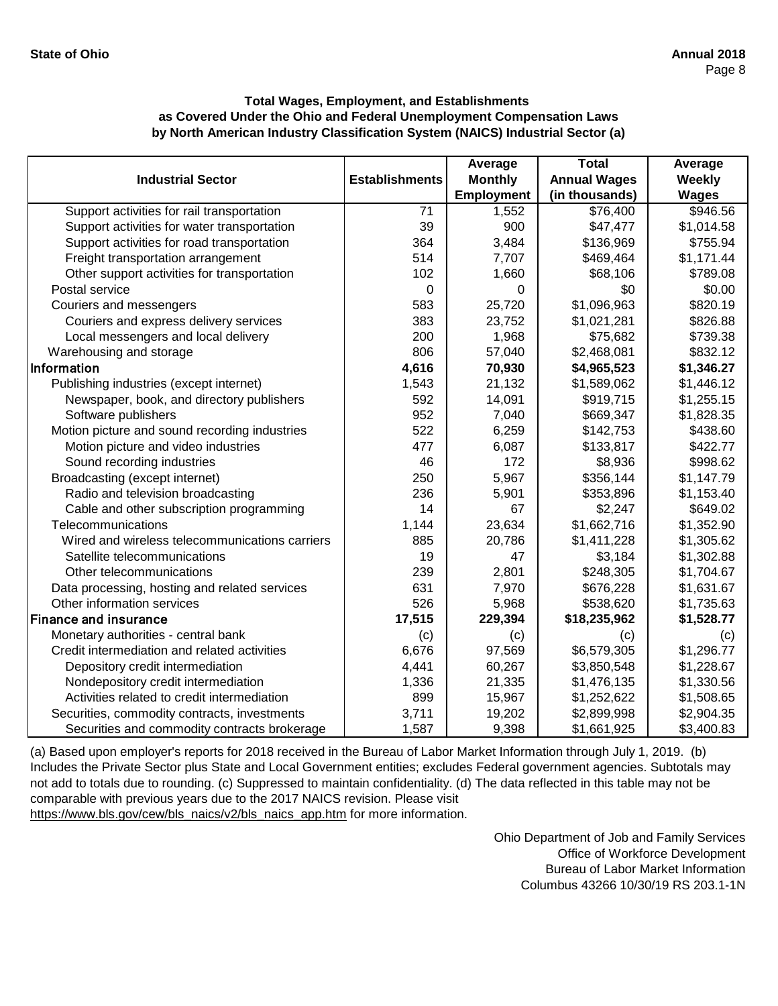|                                                |                       | Average           | <b>Total</b>        | Average       |
|------------------------------------------------|-----------------------|-------------------|---------------------|---------------|
| <b>Industrial Sector</b>                       | <b>Establishments</b> | <b>Monthly</b>    | <b>Annual Wages</b> | <b>Weekly</b> |
|                                                |                       | <b>Employment</b> | (in thousands)      | <b>Wages</b>  |
| Support activities for rail transportation     | 71                    | 1,552             | \$76,400            | \$946.56      |
| Support activities for water transportation    | 39                    | 900               | \$47,477            | \$1,014.58    |
| Support activities for road transportation     | 364                   | 3,484             | \$136,969           | \$755.94      |
| Freight transportation arrangement             | 514                   | 7,707             | \$469,464           | \$1,171.44    |
| Other support activities for transportation    | 102                   | 1,660             | \$68,106            | \$789.08      |
| Postal service                                 | $\Omega$              | 0                 | \$0                 | \$0.00        |
| Couriers and messengers                        | 583                   | 25,720            | \$1,096,963         | \$820.19      |
| Couriers and express delivery services         | 383                   | 23,752            | \$1,021,281         | \$826.88      |
| Local messengers and local delivery            | 200                   | 1,968             | \$75,682            | \$739.38      |
| Warehousing and storage                        | 806                   | 57,040            | \$2,468,081         | \$832.12      |
| Information                                    | 4,616                 | 70,930            | \$4,965,523         | \$1,346.27    |
| Publishing industries (except internet)        | 1,543                 | 21,132            | \$1,589,062         | \$1,446.12    |
| Newspaper, book, and directory publishers      | 592                   | 14,091            | \$919,715           | \$1,255.15    |
| Software publishers                            | 952                   | 7,040             | \$669,347           | \$1,828.35    |
| Motion picture and sound recording industries  | 522                   | 6,259             | \$142,753           | \$438.60      |
| Motion picture and video industries            | 477                   | 6,087             | \$133,817           | \$422.77      |
| Sound recording industries                     | 46                    | 172               | \$8,936             | \$998.62      |
| Broadcasting (except internet)                 | 250                   | 5,967             | \$356,144           | \$1,147.79    |
| Radio and television broadcasting              | 236                   | 5,901             | \$353,896           | \$1,153.40    |
| Cable and other subscription programming       | 14                    | 67                | \$2,247             | \$649.02      |
| Telecommunications                             | 1,144                 | 23,634            | \$1,662,716         | \$1,352.90    |
| Wired and wireless telecommunications carriers | 885                   | 20,786            | \$1,411,228         | \$1,305.62    |
| Satellite telecommunications                   | 19                    | 47                | \$3,184             | \$1,302.88    |
| Other telecommunications                       | 239                   | 2,801             | \$248,305           | \$1,704.67    |
| Data processing, hosting and related services  | 631                   | 7,970             | \$676,228           | \$1,631.67    |
| Other information services                     | 526                   | 5,968             | \$538,620           | \$1,735.63    |
| <b>Finance and insurance</b>                   | 17,515                | 229,394           | \$18,235,962        | \$1,528.77    |
| Monetary authorities - central bank            | (c)                   | (c)               | (c)                 | (c)           |
| Credit intermediation and related activities   | 6,676                 | 97,569            | \$6,579,305         | \$1,296.77    |
| Depository credit intermediation               | 4,441                 | 60,267            | \$3,850,548         | \$1,228.67    |
| Nondepository credit intermediation            | 1,336                 | 21,335            | \$1,476,135         | \$1,330.56    |
| Activities related to credit intermediation    | 899                   | 15,967            | \$1,252,622         | \$1,508.65    |
| Securities, commodity contracts, investments   | 3,711                 | 19,202            | \$2,899,998         | \$2,904.35    |
| Securities and commodity contracts brokerage   | 1,587                 | 9,398             | \$1,661,925         | \$3,400.83    |

[\(a\) Based upon employer's reports for 2018 received in t](https://www.bls.gov/cew/bls_naics/v2/bls_naics_app.htm)he Bureau of Labor Market Information through July 1, 2019. (b) [Includes the Private Sector plus State and Local Governm](https://www.bls.gov/cew/bls_naics/v2/bls_naics_app.htm)ent entities; excludes Federal government agencies. Subtotals may [not add to totals due to rounding. \(c\) Suppressed to main](https://www.bls.gov/cew/bls_naics/v2/bls_naics_app.htm)tain confidentiality. (d) The data reflected in this table may not be [comparable with previous years due to the 2017 NAICS](https://www.bls.gov/cew/bls_naics/v2/bls_naics_app.htm) revision. Please visit [https://www.bls.gov/cew/bls\\_naics/v2/bls\\_naics\\_app.htm](https://www.bls.gov/cew/bls_naics/v2/bls_naics_app.htm) for more information.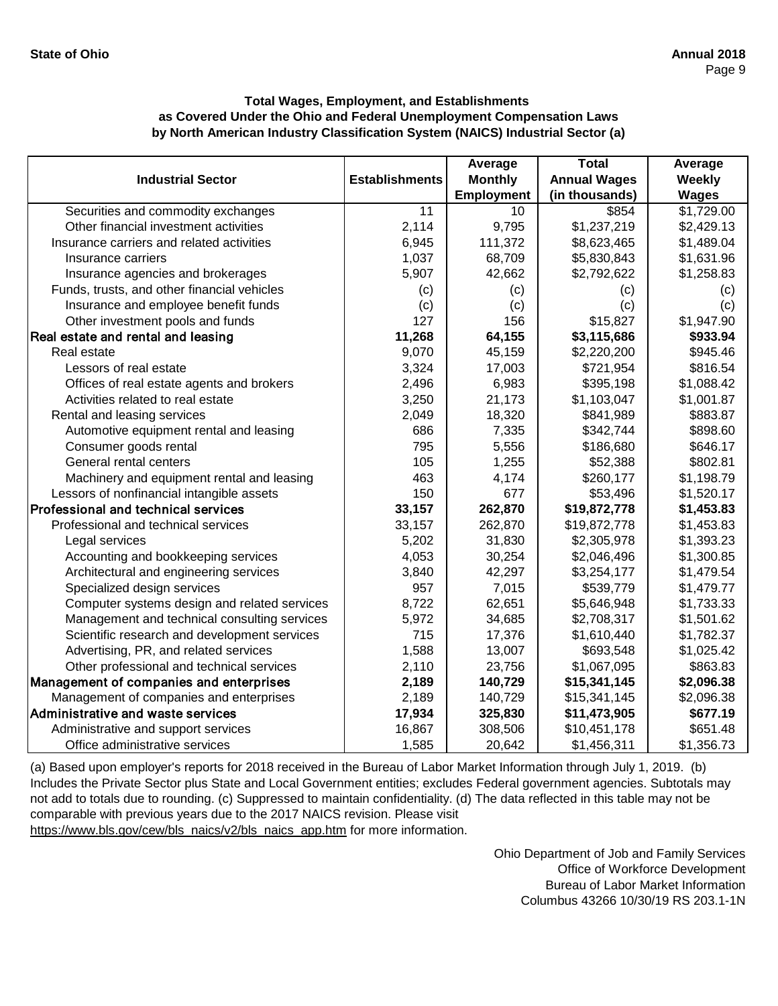|                                              |                       | Average         | <b>Total</b>        | Average      |
|----------------------------------------------|-----------------------|-----------------|---------------------|--------------|
| <b>Industrial Sector</b>                     | <b>Establishments</b> | <b>Monthly</b>  | <b>Annual Wages</b> | Weekly       |
|                                              |                       | Employment      | (in thousands)      | <b>Wages</b> |
| Securities and commodity exchanges           | $\overline{11}$       | $\overline{10}$ | \$854               | \$1,729.00   |
| Other financial investment activities        | 2,114                 | 9,795           | \$1,237,219         | \$2,429.13   |
| Insurance carriers and related activities    | 6,945                 | 111,372         | \$8,623,465         | \$1,489.04   |
| Insurance carriers                           | 1,037                 | 68,709          | \$5,830,843         | \$1,631.96   |
| Insurance agencies and brokerages            | 5,907                 | 42,662          | \$2,792,622         | \$1,258.83   |
| Funds, trusts, and other financial vehicles  | (c)                   | (c)             | (c)                 | (c)          |
| Insurance and employee benefit funds         | (c)                   | (c)             | (c)                 | (c)          |
| Other investment pools and funds             | 127                   | 156             | \$15,827            | \$1,947.90   |
| Real estate and rental and leasing           | 11,268                | 64,155          | \$3,115,686         | \$933.94     |
| Real estate                                  | 9,070                 | 45,159          | \$2,220,200         | \$945.46     |
| Lessors of real estate                       | 3,324                 | 17,003          | \$721,954           | \$816.54     |
| Offices of real estate agents and brokers    | 2,496                 | 6,983           | \$395,198           | \$1,088.42   |
| Activities related to real estate            | 3,250                 | 21,173          | \$1,103,047         | \$1,001.87   |
| Rental and leasing services                  | 2,049                 | 18,320          | \$841,989           | \$883.87     |
| Automotive equipment rental and leasing      | 686                   | 7,335           | \$342,744           | \$898.60     |
| Consumer goods rental                        | 795                   | 5,556           | \$186,680           | \$646.17     |
| General rental centers                       | 105                   | 1,255           | \$52,388            | \$802.81     |
| Machinery and equipment rental and leasing   | 463                   | 4,174           | \$260,177           | \$1,198.79   |
| Lessors of nonfinancial intangible assets    | 150                   | 677             | \$53,496            | \$1,520.17   |
| Professional and technical services          | 33,157                | 262,870         | \$19,872,778        | \$1,453.83   |
| Professional and technical services          | 33,157                | 262,870         | \$19,872,778        | \$1,453.83   |
| Legal services                               | 5,202                 | 31,830          | \$2,305,978         | \$1,393.23   |
| Accounting and bookkeeping services          | 4,053                 | 30,254          | \$2,046,496         | \$1,300.85   |
| Architectural and engineering services       | 3,840                 | 42,297          | \$3,254,177         | \$1,479.54   |
| Specialized design services                  | 957                   | 7,015           | \$539,779           | \$1,479.77   |
| Computer systems design and related services | 8,722                 | 62,651          | \$5,646,948         | \$1,733.33   |
| Management and technical consulting services | 5,972                 | 34,685          | \$2,708,317         | \$1,501.62   |
| Scientific research and development services | 715                   | 17,376          | \$1,610,440         | \$1,782.37   |
| Advertising, PR, and related services        | 1,588                 | 13,007          | \$693,548           | \$1,025.42   |
| Other professional and technical services    | 2,110                 | 23,756          | \$1,067,095         | \$863.83     |
| Management of companies and enterprises      | 2,189                 | 140,729         | \$15,341,145        | \$2,096.38   |
| Management of companies and enterprises      | 2,189                 | 140,729         | \$15,341,145        | \$2,096.38   |
| Administrative and waste services            | 17,934                | 325,830         | \$11,473,905        | \$677.19     |
| Administrative and support services          | 16,867                | 308,506         | \$10,451,178        | \$651.48     |
| Office administrative services               | 1,585                 | 20,642          | \$1,456,311         | \$1,356.73   |

[\(a\) Based upon employer's reports for 2018 received in t](https://www.bls.gov/cew/bls_naics/v2/bls_naics_app.htm)he Bureau of Labor Market Information through July 1, 2019. (b) [Includes the Private Sector plus State and Local Governm](https://www.bls.gov/cew/bls_naics/v2/bls_naics_app.htm)ent entities; excludes Federal government agencies. Subtotals may [not add to totals due to rounding. \(c\) Suppressed to main](https://www.bls.gov/cew/bls_naics/v2/bls_naics_app.htm)tain confidentiality. (d) The data reflected in this table may not be [comparable with previous years due to the 2017 NAICS](https://www.bls.gov/cew/bls_naics/v2/bls_naics_app.htm) revision. Please visit

[https://www.bls.gov/cew/bls\\_naics/v2/bls\\_naics\\_app.htm](https://www.bls.gov/cew/bls_naics/v2/bls_naics_app.htm) for more information.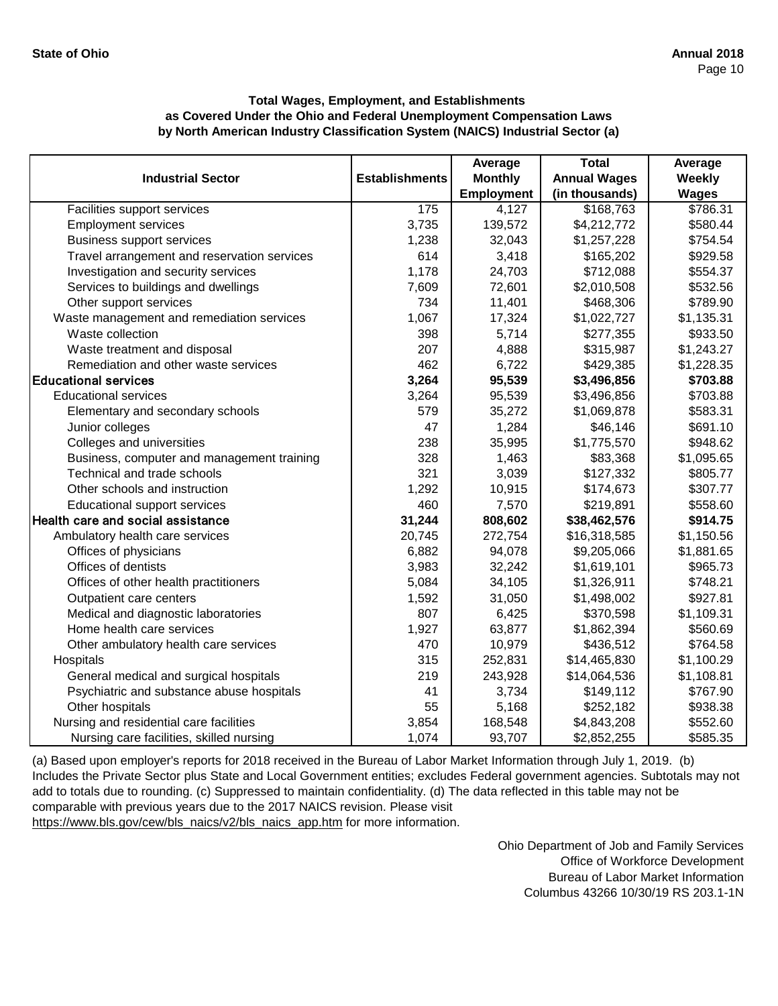|                                             |                       | Average           | <b>Total</b>        | Average      |
|---------------------------------------------|-----------------------|-------------------|---------------------|--------------|
| <b>Industrial Sector</b>                    | <b>Establishments</b> | <b>Monthly</b>    | <b>Annual Wages</b> | Weekly       |
|                                             |                       | <b>Employment</b> | (in thousands)      | <b>Wages</b> |
| Facilities support services                 | 175                   | 4,127             | \$168,763           | \$786.31     |
| <b>Employment services</b>                  | 3,735                 | 139,572           | \$4,212,772         | \$580.44     |
| <b>Business support services</b>            | 1,238                 | 32,043            | \$1,257,228         | \$754.54     |
| Travel arrangement and reservation services | 614                   | 3,418             | \$165,202           | \$929.58     |
| Investigation and security services         | 1,178                 | 24,703            | \$712,088           | \$554.37     |
| Services to buildings and dwellings         | 7,609                 | 72,601            | \$2,010,508         | \$532.56     |
| Other support services                      | 734                   | 11,401            | \$468,306           | \$789.90     |
| Waste management and remediation services   | 1,067                 | 17,324            | \$1,022,727         | \$1,135.31   |
| Waste collection                            | 398                   | 5,714             | \$277,355           | \$933.50     |
| Waste treatment and disposal                | 207                   | 4,888             | \$315,987           | \$1,243.27   |
| Remediation and other waste services        | 462                   | 6,722             | \$429,385           | \$1,228.35   |
| <b>Educational services</b>                 | 3,264                 | 95,539            | \$3,496,856         | \$703.88     |
| <b>Educational services</b>                 | 3,264                 | 95,539            | \$3,496,856         | \$703.88     |
| Elementary and secondary schools            | 579                   | 35,272            | \$1,069,878         | \$583.31     |
| Junior colleges                             | 47                    | 1,284             | \$46,146            | \$691.10     |
| Colleges and universities                   | 238                   | 35,995            | \$1,775,570         | \$948.62     |
| Business, computer and management training  | 328                   | 1,463             | \$83,368            | \$1,095.65   |
| Technical and trade schools                 | 321                   | 3,039             | \$127,332           | \$805.77     |
| Other schools and instruction               | 1,292                 | 10,915            | \$174,673           | \$307.77     |
| <b>Educational support services</b>         | 460                   | 7,570             | \$219,891           | \$558.60     |
| Health care and social assistance           | 31,244                | 808,602           | \$38,462,576        | \$914.75     |
| Ambulatory health care services             | 20,745                | 272,754           | \$16,318,585        | \$1,150.56   |
| Offices of physicians                       | 6,882                 | 94,078            | \$9,205,066         | \$1,881.65   |
| Offices of dentists                         | 3,983                 | 32,242            | \$1,619,101         | \$965.73     |
| Offices of other health practitioners       | 5,084                 | 34,105            | \$1,326,911         | \$748.21     |
| Outpatient care centers                     | 1,592                 | 31,050            | \$1,498,002         | \$927.81     |
| Medical and diagnostic laboratories         | 807                   | 6,425             | \$370,598           | \$1,109.31   |
| Home health care services                   | 1,927                 | 63,877            | \$1,862,394         | \$560.69     |
| Other ambulatory health care services       | 470                   | 10,979            | \$436,512           | \$764.58     |
| Hospitals                                   | 315                   | 252,831           | \$14,465,830        | \$1,100.29   |
| General medical and surgical hospitals      | 219                   | 243,928           | \$14,064,536        | \$1,108.81   |
| Psychiatric and substance abuse hospitals   | 41                    | 3,734             | \$149,112           | \$767.90     |
| Other hospitals                             | 55                    | 5,168             | \$252,182           | \$938.38     |
| Nursing and residential care facilities     | 3,854                 | 168,548           | \$4,843,208         | \$552.60     |
| Nursing care facilities, skilled nursing    | 1,074                 | 93,707            | \$2,852,255         | \$585.35     |

[\(a\) Based upon employer's reports for 2018 received in the](https://www.bls.gov/cew/bls_naics/v2/bls_naics_app.htm) Bureau of Labor Market Information through July 1, 2019. (b) [Includes the Private Sector plus State and Local Governme](https://www.bls.gov/cew/bls_naics/v2/bls_naics_app.htm)nt entities; excludes Federal government agencies. Subtotals may not [add to totals due to rounding. \(c\) Suppressed to maintain c](https://www.bls.gov/cew/bls_naics/v2/bls_naics_app.htm)onfidentiality. (d) The data reflected in this table may not be [comparable with previous years due to the 2017 NAICS re](https://www.bls.gov/cew/bls_naics/v2/bls_naics_app.htm)vision. Please visit [https://www.bls.gov/cew/bls\\_naics/v2/bls\\_naics\\_app.htm fo](https://www.bls.gov/cew/bls_naics/v2/bls_naics_app.htm)r more information.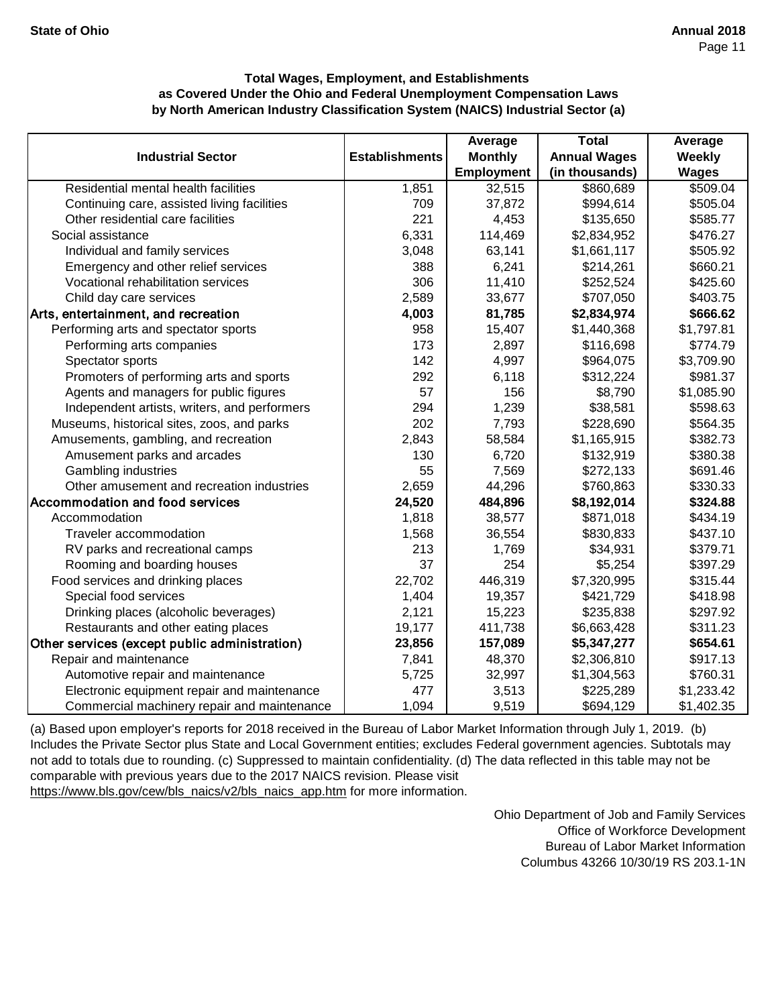|                                               |                       | Average           | <b>Total</b>        | Average      |
|-----------------------------------------------|-----------------------|-------------------|---------------------|--------------|
| <b>Industrial Sector</b>                      | <b>Establishments</b> | <b>Monthly</b>    | <b>Annual Wages</b> | Weekly       |
|                                               |                       | <b>Employment</b> | (in thousands)      | <b>Wages</b> |
| Residential mental health facilities          | 1,851                 | 32,515            | \$860,689           | \$509.04     |
| Continuing care, assisted living facilities   | 709                   | 37,872            | \$994,614           | \$505.04     |
| Other residential care facilities             | 221                   | 4,453             | \$135,650           | \$585.77     |
| Social assistance                             | 6,331                 | 114,469           | \$2,834,952         | \$476.27     |
| Individual and family services                | 3,048                 | 63,141            | \$1,661,117         | \$505.92     |
| Emergency and other relief services           | 388                   | 6,241             | \$214,261           | \$660.21     |
| Vocational rehabilitation services            | 306                   | 11,410            | \$252,524           | \$425.60     |
| Child day care services                       | 2,589                 | 33,677            | \$707,050           | \$403.75     |
| Arts, entertainment, and recreation           | 4,003                 | 81,785            | \$2,834,974         | \$666.62     |
| Performing arts and spectator sports          | 958                   | 15,407            | \$1,440,368         | \$1,797.81   |
| Performing arts companies                     | 173                   | 2,897             | \$116,698           | \$774.79     |
| Spectator sports                              | 142                   | 4,997             | \$964,075           | \$3,709.90   |
| Promoters of performing arts and sports       | 292                   | 6,118             | \$312,224           | \$981.37     |
| Agents and managers for public figures        | 57                    | 156               | \$8,790             | \$1,085.90   |
| Independent artists, writers, and performers  | 294                   | 1,239             | \$38,581            | \$598.63     |
| Museums, historical sites, zoos, and parks    | 202                   | 7,793             | \$228,690           | \$564.35     |
| Amusements, gambling, and recreation          | 2,843                 | 58,584            | \$1,165,915         | \$382.73     |
| Amusement parks and arcades                   | 130                   | 6,720             | \$132,919           | \$380.38     |
| Gambling industries                           | 55                    | 7,569             | \$272,133           | \$691.46     |
| Other amusement and recreation industries     | 2,659                 | 44,296            | \$760,863           | \$330.33     |
| Accommodation and food services               | 24,520                | 484,896           | \$8,192,014         | \$324.88     |
| Accommodation                                 | 1,818                 | 38,577            | \$871,018           | \$434.19     |
| Traveler accommodation                        | 1,568                 | 36,554            | \$830,833           | \$437.10     |
| RV parks and recreational camps               | 213                   | 1,769             | \$34,931            | \$379.71     |
| Rooming and boarding houses                   | 37                    | 254               | \$5,254             | \$397.29     |
| Food services and drinking places             | 22,702                | 446,319           | \$7,320,995         | \$315.44     |
| Special food services                         | 1,404                 | 19,357            | \$421,729           | \$418.98     |
| Drinking places (alcoholic beverages)         | 2,121                 | 15,223            | \$235,838           | \$297.92     |
| Restaurants and other eating places           | 19,177                | 411,738           | \$6,663,428         | \$311.23     |
| Other services (except public administration) | 23,856                | 157,089           | \$5,347,277         | \$654.61     |
| Repair and maintenance                        | 7,841                 | 48,370            | \$2,306,810         | \$917.13     |
| Automotive repair and maintenance             | 5,725                 | 32,997            | \$1,304,563         | \$760.31     |
| Electronic equipment repair and maintenance   | 477                   | 3,513             | \$225,289           | \$1,233.42   |
| Commercial machinery repair and maintenance   | 1,094                 | 9,519             | \$694,129           | \$1,402.35   |

[\(a\) Based upon employer's reports for 2018 received in t](https://www.bls.gov/cew/bls_naics/v2/bls_naics_app.htm)he Bureau of Labor Market Information through July 1, 2019. (b) [Includes the Private Sector plus State and Local Governm](https://www.bls.gov/cew/bls_naics/v2/bls_naics_app.htm)ent entities; excludes Federal government agencies. Subtotals may [not add to totals due to rounding. \(c\) Suppressed to main](https://www.bls.gov/cew/bls_naics/v2/bls_naics_app.htm)tain confidentiality. (d) The data reflected in this table may not be [comparable with previous years due to the 2017 NAICS](https://www.bls.gov/cew/bls_naics/v2/bls_naics_app.htm) revision. Please visit

[https://www.bls.gov/cew/bls\\_naics/v2/bls\\_naics\\_app.htm](https://www.bls.gov/cew/bls_naics/v2/bls_naics_app.htm) for more information.